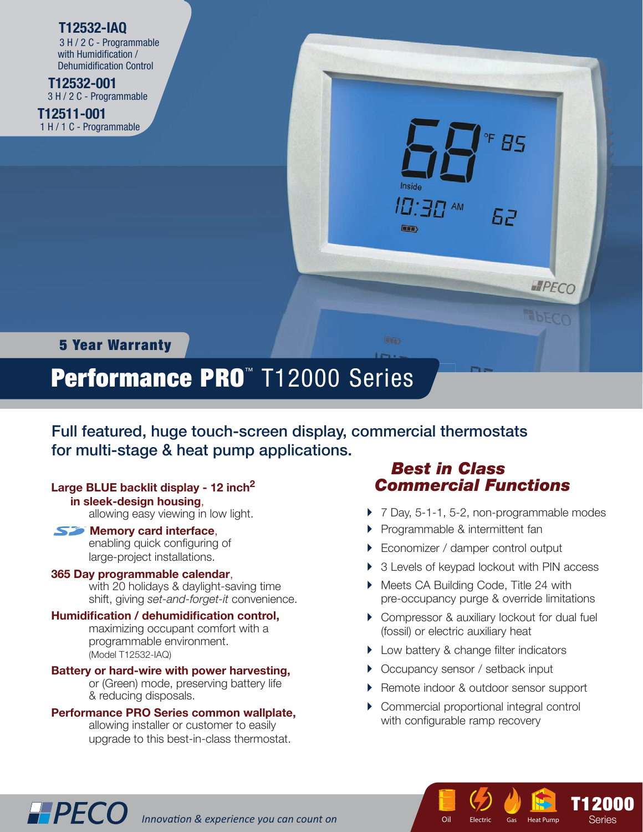## **T12532-IAQ**

 3 H / 2 C - Programmable with Humidification / Dehumidification Control

 **T12532-001** 3 H / 2 C - Programmable

**T12511-001** 1 H / 1 C - Programmable 



# 5 Year Warranty

# Performance PRO<sup>™</sup> T12000 Series

Full featured, huge touch-screen display, commercial thermostats for multi-stage & heat pump applications.

## **Large BLUE backlit display - 12 inch2**

 **in sleek-design housing**,

allowing easy viewing in low light.

### **S** Memory card interface,

enabling quick configuring of large-project installations.

#### **365 Day programmable calendar**,

 with 20 holidays & daylight-saving time shift, giving *set-and-forget-it* convenience.

#### **Humidification / dehumidification control.**

 maximizing occupant comfort with a programmable environment. (Model T12532-IAQ)

#### **Battery or hard-wire with power harvesting,**

 or (Green) mode, preserving battery life & reducing disposals.

#### **Performance PRO Series common wallplate,**

 allowing installer or customer to easily upgrade to this best-in-class thermostat.

**IPPECO** Innovation & experience you can count on

# *Best in Class Commercial Functions*

- ▶ 7 Day, 5-1-1, 5-2, non-programmable modes
- **Programmable & intermittent fan**
- ▶ Economizer / damper control output
- ▶ 3 Levels of keypad lockout with PIN access
- ▶ Meets CA Building Code, Title 24 with pre-occupancy purge & override limitations
- ▶ Compressor & auxiliary lockout for dual fuel (fossil) or electric auxiliary heat
- ▶ Low battery & change filter indicators
- ▶ Occupancy sensor / setback input
- ▶ Remote indoor & outdoor sensor support
- Commercial proportional integral control with configurable ramp recovery

7 J T ctric Gas Hea

Oil Electric Gas Heat Pump Series

T12000 T12000